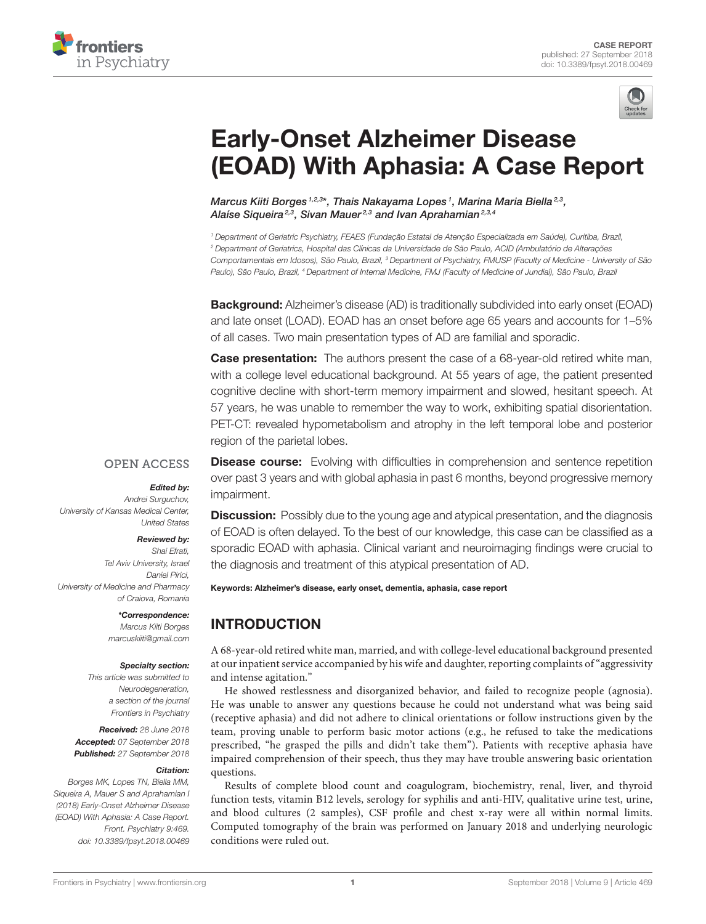



# Early-Onset Alzheimer Disease [\(EOAD\) With Aphasia: A Case Report](https://www.frontiersin.org/articles/10.3389/fpsyt.2018.00469/full)

[Marcus Kiiti Borges](http://loop.frontiersin.org/people/581294/overview) 1,2,3\*, Thais Nakayama Lopes 1, Marina Maria Biella 2,3, Alaíse Sigueira<sup>2,3</sup>, Sivan Mauer<sup>2,3</sup> and Ivan Aprahamian<sup>2,3,4</sup>

<sup>1</sup> Department of Geriatric Psychiatry, FEAES (Fundação Estatal de Atenção Especializada em Saúde), Curitiba, Brazil, <sup>2</sup> Department of Geriatrics, Hospital das Clínicas da Universidade de São Paulo, ACID (Ambulatório de Alterações Comportamentais em Idosos), São Paulo, Brazil, <sup>3</sup> Department of Psychiatry, FMUSP (Faculty of Medicine - University of São Paulo), São Paulo, Brazil, <sup>4</sup> Department of Internal Medicine, FMJ (Faculty of Medicine of Jundiaí), São Paulo, Brazil

**Background:** Alzheimer's disease (AD) is traditionally subdivided into early onset (EOAD) and late onset (LOAD). EOAD has an onset before age 65 years and accounts for 1–5% of all cases. Two main presentation types of AD are familial and sporadic.

**Case presentation:** The authors present the case of a 68-year-old retired white man, with a college level educational background. At 55 years of age, the patient presented cognitive decline with short-term memory impairment and slowed, hesitant speech. At 57 years, he was unable to remember the way to work, exhibiting spatial disorientation. PET-CT: revealed hypometabolism and atrophy in the left temporal lobe and posterior region of the parietal lobes.

#### **OPEN ACCESS**

#### Edited by:

Andrei Surguchov, University of Kansas Medical Center, United States

#### Reviewed by:

Shai Efrati, Tel Aviv University, Israel Daniel Pirici, University of Medicine and Pharmacy of Craiova, Romania

> \*Correspondence: Marcus Kiiti Borges [marcuskiiti@gmail.com](mailto:marcuskiiti@gmail.com)

#### Specialty section:

This article was submitted to Neurodegeneration, a section of the journal Frontiers in Psychiatry

Received: 28 June 2018 Accepted: 07 September 2018 Published: 27 September 2018

#### Citation:

Borges MK, Lopes TN, Biella MM, Siqueira A, Mauer S and Aprahamian I (2018) Early-Onset Alzheimer Disease (EOAD) With Aphasia: A Case Report. Front. Psychiatry 9:469. doi: [10.3389/fpsyt.2018.00469](https://doi.org/10.3389/fpsyt.2018.00469)

**Disease course:** Evolving with difficulties in comprehension and sentence repetition over past 3 years and with global aphasia in past 6 months, beyond progressive memory impairment.

**Discussion:** Possibly due to the young age and atypical presentation, and the diagnosis of EOAD is often delayed. To the best of our knowledge, this case can be classified as a sporadic EOAD with aphasia. Clinical variant and neuroimaging findings were crucial to the diagnosis and treatment of this atypical presentation of AD.

#### Keywords: Alzheimer's disease, early onset, dementia, aphasia, case report

# INTRODUCTION

A 68-year-old retired white man, married, and with college-level educational background presented at our inpatient service accompanied by his wife and daughter, reporting complaints of "aggressivity and intense agitation."

He showed restlessness and disorganized behavior, and failed to recognize people (agnosia). He was unable to answer any questions because he could not understand what was being said (receptive aphasia) and did not adhere to clinical orientations or follow instructions given by the team, proving unable to perform basic motor actions (e.g., he refused to take the medications prescribed, "he grasped the pills and didn't take them"). Patients with receptive aphasia have impaired comprehension of their speech, thus they may have trouble answering basic orientation questions.

Results of complete blood count and coagulogram, biochemistry, renal, liver, and thyroid function tests, vitamin B12 levels, serology for syphilis and anti-HIV, qualitative urine test, urine, and blood cultures (2 samples), CSF profile and chest x-ray were all within normal limits. Computed tomography of the brain was performed on January 2018 and underlying neurologic conditions were ruled out.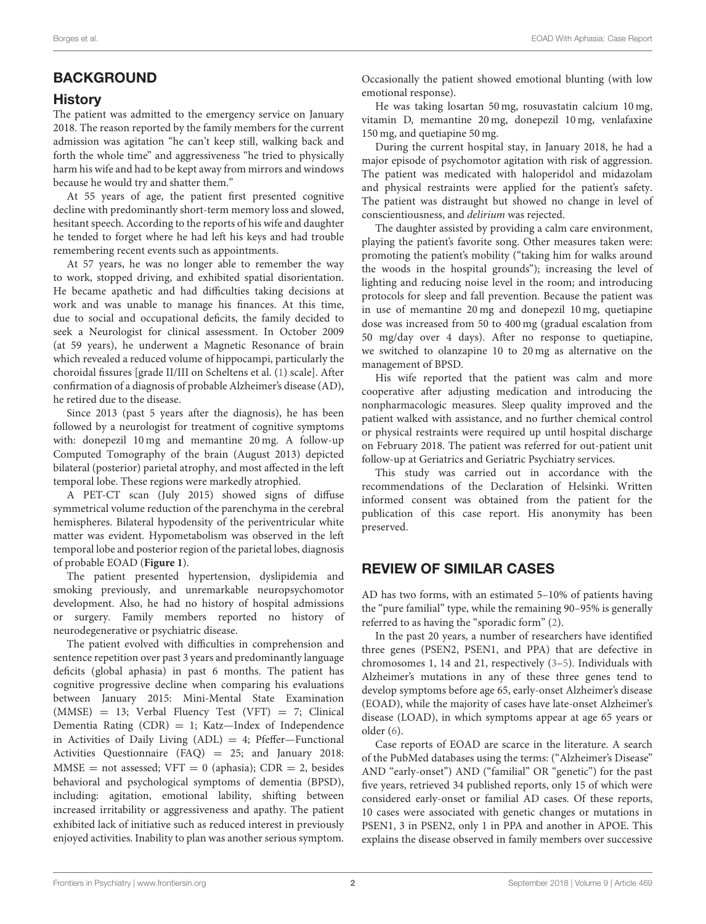# **BACKGROUND**

#### History

The patient was admitted to the emergency service on January 2018. The reason reported by the family members for the current admission was agitation "he can't keep still, walking back and forth the whole time" and aggressiveness "he tried to physically harm his wife and had to be kept away from mirrors and windows because he would try and shatter them."

At 55 years of age, the patient first presented cognitive decline with predominantly short-term memory loss and slowed, hesitant speech. According to the reports of his wife and daughter he tended to forget where he had left his keys and had trouble remembering recent events such as appointments.

At 57 years, he was no longer able to remember the way to work, stopped driving, and exhibited spatial disorientation. He became apathetic and had difficulties taking decisions at work and was unable to manage his finances. At this time, due to social and occupational deficits, the family decided to seek a Neurologist for clinical assessment. In October 2009 (at 59 years), he underwent a Magnetic Resonance of brain which revealed a reduced volume of hippocampi, particularly the choroidal fissures [grade II/III on Scheltens et al. [\(1\)](#page-3-0) scale]. After confirmation of a diagnosis of probable Alzheimer's disease (AD), he retired due to the disease.

Since 2013 (past 5 years after the diagnosis), he has been followed by a neurologist for treatment of cognitive symptoms with: donepezil 10 mg and memantine 20 mg. A follow-up Computed Tomography of the brain (August 2013) depicted bilateral (posterior) parietal atrophy, and most affected in the left temporal lobe. These regions were markedly atrophied.

A PET-CT scan (July 2015) showed signs of diffuse symmetrical volume reduction of the parenchyma in the cerebral hemispheres. Bilateral hypodensity of the periventricular white matter was evident. Hypometabolism was observed in the left temporal lobe and posterior region of the parietal lobes, diagnosis of probable EOAD (**[Figure 1](#page-2-0)**).

The patient presented hypertension, dyslipidemia and smoking previously, and unremarkable neuropsychomotor development. Also, he had no history of hospital admissions or surgery. Family members reported no history of neurodegenerative or psychiatric disease.

The patient evolved with difficulties in comprehension and sentence repetition over past 3 years and predominantly language deficits (global aphasia) in past 6 months. The patient has cognitive progressive decline when comparing his evaluations between January 2015: Mini-Mental State Examination (MMSE) = 13; Verbal Fluency Test (VFT) = 7; Clinical Dementia Rating  $(CDR) = 1$ ; Katz-Index of Independence in Activities of Daily Living  $(ADL) = 4$ ; Pfeffer-Functional Activities Questionnaire (FAQ) = 25; and January 2018:  $MMSE = not assessed; VFT = 0 (aphasia); CDR = 2, besides$ behavioral and psychological symptoms of dementia (BPSD), including: agitation, emotional lability, shifting between increased irritability or aggressiveness and apathy. The patient exhibited lack of initiative such as reduced interest in previously enjoyed activities. Inability to plan was another serious symptom. Occasionally the patient showed emotional blunting (with low emotional response).

He was taking losartan 50 mg, rosuvastatin calcium 10 mg, vitamin D, memantine 20 mg, donepezil 10 mg, venlafaxine 150 mg, and quetiapine 50 mg.

During the current hospital stay, in January 2018, he had a major episode of psychomotor agitation with risk of aggression. The patient was medicated with haloperidol and midazolam and physical restraints were applied for the patient's safety. The patient was distraught but showed no change in level of conscientiousness, and delirium was rejected.

The daughter assisted by providing a calm care environment, playing the patient's favorite song. Other measures taken were: promoting the patient's mobility ("taking him for walks around the woods in the hospital grounds"); increasing the level of lighting and reducing noise level in the room; and introducing protocols for sleep and fall prevention. Because the patient was in use of memantine 20 mg and donepezil 10 mg, quetiapine dose was increased from 50 to 400 mg (gradual escalation from 50 mg/day over 4 days). After no response to quetiapine, we switched to olanzapine 10 to 20 mg as alternative on the management of BPSD.

His wife reported that the patient was calm and more cooperative after adjusting medication and introducing the nonpharmacologic measures. Sleep quality improved and the patient walked with assistance, and no further chemical control or physical restraints were required up until hospital discharge on February 2018. The patient was referred for out-patient unit follow-up at Geriatrics and Geriatric Psychiatry services.

This study was carried out in accordance with the recommendations of the Declaration of Helsinki. Written informed consent was obtained from the patient for the publication of this case report. His anonymity has been preserved.

## REVIEW OF SIMILAR CASES

AD has two forms, with an estimated 5–10% of patients having the "pure familial" type, while the remaining 90–95% is generally referred to as having the "sporadic form" [\(2\)](#page-3-1).

In the past 20 years, a number of researchers have identified three genes (PSEN2, PSEN1, and PPA) that are defective in chromosomes 1, 14 and 21, respectively [\(3–](#page-3-2)[5\)](#page-3-3). Individuals with Alzheimer's mutations in any of these three genes tend to develop symptoms before age 65, early-onset Alzheimer's disease (EOAD), while the majority of cases have late-onset Alzheimer's disease (LOAD), in which symptoms appear at age 65 years or older [\(6\)](#page-3-4).

Case reports of EOAD are scarce in the literature. A search of the PubMed databases using the terms: ("Alzheimer's Disease" AND "early-onset") AND ("familial" OR "genetic") for the past five years, retrieved 34 published reports, only 15 of which were considered early-onset or familial AD cases. Of these reports, 10 cases were associated with genetic changes or mutations in PSEN1, 3 in PSEN2, only 1 in PPA and another in APOE. This explains the disease observed in family members over successive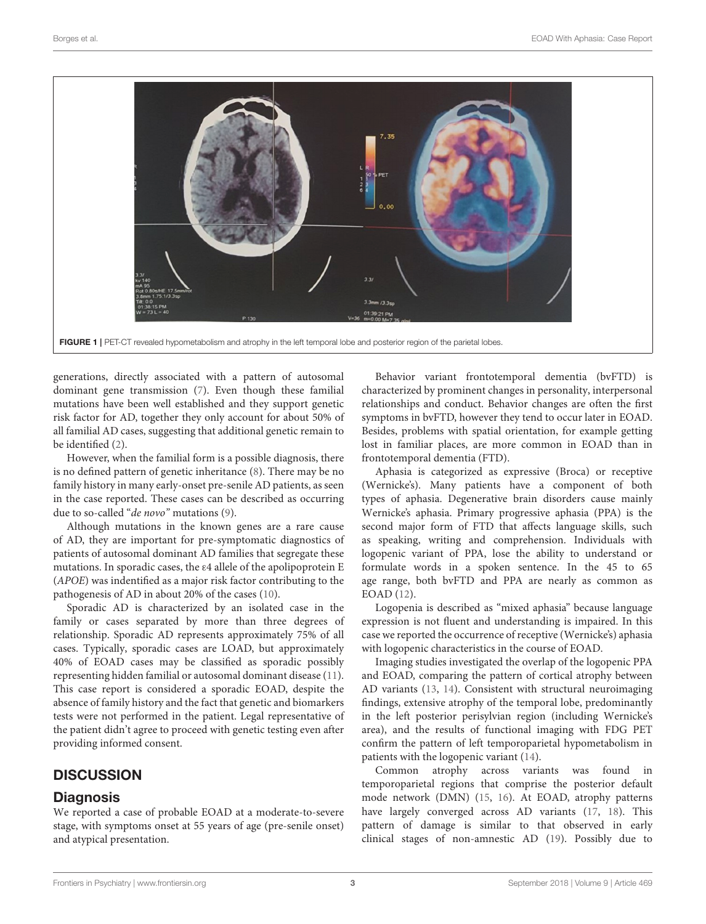

FIGURE 1 | PET-CT revealed hypometabolism and atrophy in the left temporal lobe and posterior region of the parietal lobes.

<span id="page-2-0"></span>generations, directly associated with a pattern of autosomal dominant gene transmission [\(7\)](#page-3-5). Even though these familial mutations have been well established and they support genetic risk factor for AD, together they only account for about 50% of all familial AD cases, suggesting that additional genetic remain to be identified [\(2\)](#page-3-1).

However, when the familial form is a possible diagnosis, there is no defined pattern of genetic inheritance [\(8\)](#page-3-6). There may be no family history in many early-onset pre-senile AD patients, as seen in the case reported. These cases can be described as occurring due to so-called "de novo" mutations [\(9\)](#page-3-7).

Although mutations in the known genes are a rare cause of AD, they are important for pre-symptomatic diagnostics of patients of autosomal dominant AD families that segregate these mutations. In sporadic cases, the ε4 allele of the apolipoprotein E (APOE) was indentified as a major risk factor contributing to the pathogenesis of AD in about 20% of the cases [\(10\)](#page-3-8).

Sporadic AD is characterized by an isolated case in the family or cases separated by more than three degrees of relationship. Sporadic AD represents approximately 75% of all cases. Typically, sporadic cases are LOAD, but approximately 40% of EOAD cases may be classified as sporadic possibly representing hidden familial or autosomal dominant disease [\(11\)](#page-3-9). This case report is considered a sporadic EOAD, despite the absence of family history and the fact that genetic and biomarkers tests were not performed in the patient. Legal representative of the patient didn't agree to proceed with genetic testing even after providing informed consent.

# **DISCUSSION**

## **Diagnosis**

We reported a case of probable EOAD at a moderate-to-severe stage, with symptoms onset at 55 years of age (pre-senile onset) and atypical presentation.

Behavior variant frontotemporal dementia (bvFTD) is characterized by prominent changes in personality, interpersonal relationships and conduct. Behavior changes are often the first symptoms in bvFTD, however they tend to occur later in EOAD. Besides, problems with spatial orientation, for example getting lost in familiar places, are more common in EOAD than in frontotemporal dementia (FTD).

Aphasia is categorized as expressive (Broca) or receptive (Wernicke's). Many patients have a component of both types of aphasia. Degenerative brain disorders cause mainly Wernicke's aphasia. Primary progressive aphasia (PPA) is the second major form of FTD that affects language skills, such as speaking, writing and comprehension. Individuals with logopenic variant of PPA, lose the ability to understand or formulate words in a spoken sentence. In the 45 to 65 age range, both bvFTD and PPA are nearly as common as EOAD [\(12\)](#page-3-10).

Logopenia is described as "mixed aphasia" because language expression is not fluent and understanding is impaired. In this case we reported the occurrence of receptive (Wernicke's) aphasia with logopenic characteristics in the course of EOAD.

Imaging studies investigated the overlap of the logopenic PPA and EOAD, comparing the pattern of cortical atrophy between AD variants [\(13,](#page-3-11) [14\)](#page-3-12). Consistent with structural neuroimaging findings, extensive atrophy of the temporal lobe, predominantly in the left posterior perisylvian region (including Wernicke's area), and the results of functional imaging with FDG PET confirm the pattern of left temporoparietal hypometabolism in patients with the logopenic variant [\(14\)](#page-3-12).

Common atrophy across variants was found in temporoparietal regions that comprise the posterior default mode network (DMN) [\(15,](#page-3-13) [16\)](#page-3-14). At EOAD, atrophy patterns have largely converged across AD variants [\(17,](#page-3-15) [18\)](#page-3-16). This pattern of damage is similar to that observed in early clinical stages of non-amnestic AD [\(19\)](#page-4-0). Possibly due to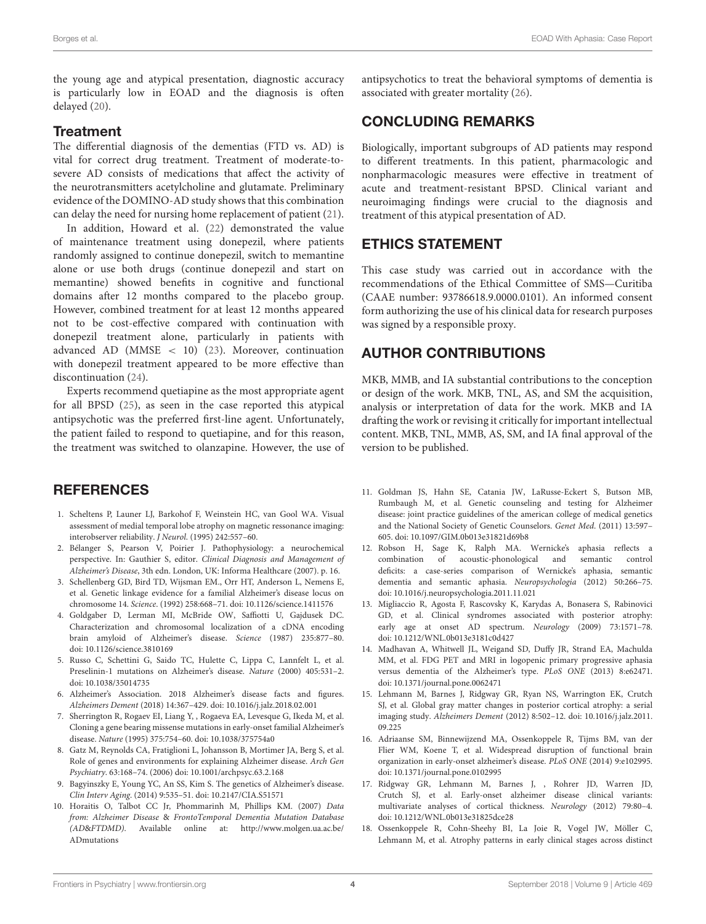the young age and atypical presentation, diagnostic accuracy is particularly low in EOAD and the diagnosis is often delayed [\(20\)](#page-4-1).

#### **Treatment**

The differential diagnosis of the dementias (FTD vs. AD) is vital for correct drug treatment. Treatment of moderate-tosevere AD consists of medications that affect the activity of the neurotransmitters acetylcholine and glutamate. Preliminary evidence of the DOMINO-AD study shows that this combination can delay the need for nursing home replacement of patient [\(21\)](#page-4-2).

In addition, Howard et al. [\(22\)](#page-4-3) demonstrated the value of maintenance treatment using donepezil, where patients randomly assigned to continue donepezil, switch to memantine alone or use both drugs (continue donepezil and start on memantine) showed benefits in cognitive and functional domains after 12 months compared to the placebo group. However, combined treatment for at least 12 months appeared not to be cost-effective compared with continuation with donepezil treatment alone, particularly in patients with advanced AD (MMSE < 10) [\(23\)](#page-4-4). Moreover, continuation with donepezil treatment appeared to be more effective than discontinuation [\(24\)](#page-4-5).

Experts recommend quetiapine as the most appropriate agent for all BPSD [\(25\)](#page-4-6), as seen in the case reported this atypical antipsychotic was the preferred first-line agent. Unfortunately, the patient failed to respond to quetiapine, and for this reason, the treatment was switched to olanzapine. However, the use of

## **REFERENCES**

- <span id="page-3-0"></span>1. Scheltens P, Launer LJ, Barkohof F, Weinstein HC, van Gool WA. Visual assessment of medial temporal lobe atrophy on magnetic ressonance imaging: interobserver reliability. J Neurol. (1995) 242:557–60.
- <span id="page-3-1"></span>2. Bélanger S, Pearson V, Poirier J. Pathophysiology: a neurochemical perspective. In: Gauthier S, editor. Clinical Diagnosis and Management of Alzheimer's Disease, 3th edn. London, UK: Informa Healthcare (2007). p. 16.
- <span id="page-3-2"></span>3. Schellenberg GD, Bird TD, Wijsman EM., Orr HT, Anderson L, Nemens E, et al. Genetic linkage evidence for a familial Alzheimer's disease locus on chromosome 14. Science. (1992) 258:668–71. doi: [10.1126/science.1411576](https://doi.org/10.1126/science.1411576)
- 4. Goldgaber D, Lerman MI, McBride OW, Saffiotti U, Gajdusek DC. Characterization and chromosomal localization of a cDNA encoding brain amyloid of Alzheimer's disease. Science (1987) 235:877–80. doi: [10.1126/science.3810169](https://doi.org/10.1126/science.3810169)
- <span id="page-3-3"></span>5. Russo C, Schettini G, Saido TC, Hulette C, Lippa C, Lannfelt L, et al. Preselinin-1 mutations on Alzheimer's disease. Nature (2000) 405:531–2. doi: [10.1038/35014735](https://doi.org/10.1038/35014735)
- <span id="page-3-4"></span>6. Alzheimer's Association. 2018 Alzheimer's disease facts and figures. Alzheimers Dement (2018) 14:367–429. doi: [10.1016/j.jalz.2018.02.001](https://doi.org/10.1016/j.jalz.2018.02.001)
- <span id="page-3-5"></span>7. Sherrington R, Rogaev EI, Liang Y, , Rogaeva EA, Levesque G, Ikeda M, et al. Cloning a gene bearing missense mutations in early-onset familial Alzheimer's disease. Nature (1995) 375:754–60. doi: [10.1038/375754a0](https://doi.org/10.1038/375754a0)
- <span id="page-3-6"></span>8. Gatz M, Reynolds CA, Fratiglioni L, Johansson B, Mortimer JA, Berg S, et al. Role of genes and environments for explaining Alzheimer disease. Arch Gen Psychiatry. 63:168–74. (2006) doi: [10.1001/archpsyc.63.2.168](https://doi.org/10.1001/archpsyc.63.2.168)
- <span id="page-3-7"></span>9. Bagyinszky E, Young YC, An SS, Kim S. The genetics of Alzheimer's disease. Clin Interv Aging. (2014) 9:535–51. doi: [10.2147/CIA.S51571](https://doi.org/10.2147/CIA.S51571)
- <span id="page-3-8"></span>10. Horaitis O, Talbot CC Jr, Phommarinh M, Phillips KM. (2007) Data from: Alzheimer Disease & FrontoTemporal Dementia Mutation Database (AD&FTDMD). Available online at: [http://www.molgen.ua.ac.be/](http://www.molgen.ua.ac.be/ADmutations) [ADmutations](http://www.molgen.ua.ac.be/ADmutations)

antipsychotics to treat the behavioral symptoms of dementia is associated with greater mortality [\(26\)](#page-4-7).

# CONCLUDING REMARKS

Biologically, important subgroups of AD patients may respond to different treatments. In this patient, pharmacologic and nonpharmacologic measures were effective in treatment of acute and treatment-resistant BPSD. Clinical variant and neuroimaging findings were crucial to the diagnosis and treatment of this atypical presentation of AD.

## ETHICS STATEMENT

This case study was carried out in accordance with the recommendations of the Ethical Committee of SMS—Curitiba (CAAE number: 93786618.9.0000.0101). An informed consent form authorizing the use of his clinical data for research purposes was signed by a responsible proxy.

## AUTHOR CONTRIBUTIONS

MKB, MMB, and IA substantial contributions to the conception or design of the work. MKB, TNL, AS, and SM the acquisition, analysis or interpretation of data for the work. MKB and IA drafting the work or revising it critically for important intellectual content. MKB, TNL, MMB, AS, SM, and IA final approval of the version to be published.

- <span id="page-3-9"></span>11. Goldman JS, Hahn SE, Catania JW, LaRusse-Eckert S, Butson MB, Rumbaugh M, et al. Genetic counseling and testing for Alzheimer disease: joint practice guidelines of the american college of medical genetics and the National Society of Genetic Counselors. Genet Med. (2011) 13:597– 605. doi: [10.1097/GIM.0b013e31821d69b8](https://doi.org/10.1097/GIM.0b013e31821d69b8)
- <span id="page-3-10"></span>12. Robson H, Sage K, Ralph MA. Wernicke's aphasia reflects a combination of acoustic-phonological and semantic control deficits: a case-series comparison of Wernicke's aphasia, semantic dementia and semantic aphasia. Neuropsychologia (2012) 50:266–75. doi: [10.1016/j.neuropsychologia.2011.11.021](https://doi.org/10.1016/j.neuropsychologia.2011.11.021)
- <span id="page-3-11"></span>13. Migliaccio R, Agosta F, Rascovsky K, Karydas A, Bonasera S, Rabinovici GD, et al. Clinical syndromes associated with posterior atrophy: early age at onset AD spectrum. Neurology (2009) 73:1571–78. doi: [10.1212/WNL.0b013e3181c0d427](https://doi.org/10.1212/WNL.0b013e3181c0d427)
- <span id="page-3-12"></span>14. Madhavan A, Whitwell JL, Weigand SD, Duffy JR, Strand EA, Machulda MM, et al. FDG PET and MRI in logopenic primary progressive aphasia versus dementia of the Alzheimer's type. PLoS ONE (2013) 8:e62471. doi: [10.1371/journal.pone.0062471](https://doi.org/10.1371/journal.pone.0062471)
- <span id="page-3-13"></span>15. Lehmann M, Barnes J, Ridgway GR, Ryan NS, Warrington EK, Crutch SJ, et al. Global gray matter changes in posterior cortical atrophy: a serial imaging study. Alzheimers Dement [\(2012\) 8:502–12. doi: 10.1016/j.jalz.2011.](https://doi.org/10.1016/j.jalz.2011.09.225) 09.225
- <span id="page-3-14"></span>16. Adriaanse SM, Binnewijzend MA, Ossenkoppele R, Tijms BM, van der Flier WM, Koene T, et al. Widespread disruption of functional brain organization in early-onset alzheimer's disease. PLoS ONE (2014) 9:e102995. doi: [10.1371/journal.pone.0102995](https://doi.org/10.1371/journal.pone.0102995)
- <span id="page-3-15"></span>17. Ridgway GR, Lehmann M, Barnes J, , Rohrer JD, Warren JD, Crutch SJ, et al. Early-onset alzheimer disease clinical variants: multivariate analyses of cortical thickness. Neurology (2012) 79:80–4. doi: [10.1212/WNL.0b013e31825dce28](https://doi.org/10.1212/WNL.0b013e31825dce28)
- <span id="page-3-16"></span>18. Ossenkoppele R, Cohn-Sheehy BI, La Joie R, Vogel JW, Möller C, Lehmann M, et al. Atrophy patterns in early clinical stages across distinct